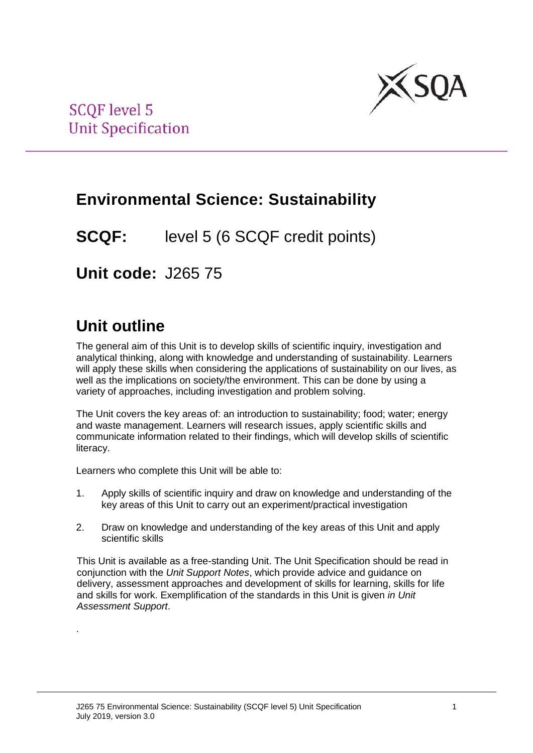

## **Environmental Science: Sustainability**

**SCQF:** level 5 (6 SCQF credit points)

**Unit code:** J265 75

# **Unit outline**

.

The general aim of this Unit is to develop skills of scientific inquiry, investigation and analytical thinking, along with knowledge and understanding of sustainability. Learners will apply these skills when considering the applications of sustainability on our lives, as well as the implications on society/the environment. This can be done by using a variety of approaches, including investigation and problem solving.

The Unit covers the key areas of: an introduction to sustainability; food; water; energy and waste management. Learners will research issues, apply scientific skills and communicate information related to their findings, which will develop skills of scientific literacy.

Learners who complete this Unit will be able to:

- 1. Apply skills of scientific inquiry and draw on knowledge and understanding of the key areas of this Unit to carry out an experiment/practical investigation
- 2. Draw on knowledge and understanding of the key areas of this Unit and apply scientific skills

This Unit is available as a free-standing Unit. The Unit Specification should be read in conjunction with the *Unit Support Notes*, which provide advice and guidance on delivery, assessment approaches and development of skills for learning, skills for life and skills for work. Exemplification of the standards in this Unit is given *in Unit Assessment Support*.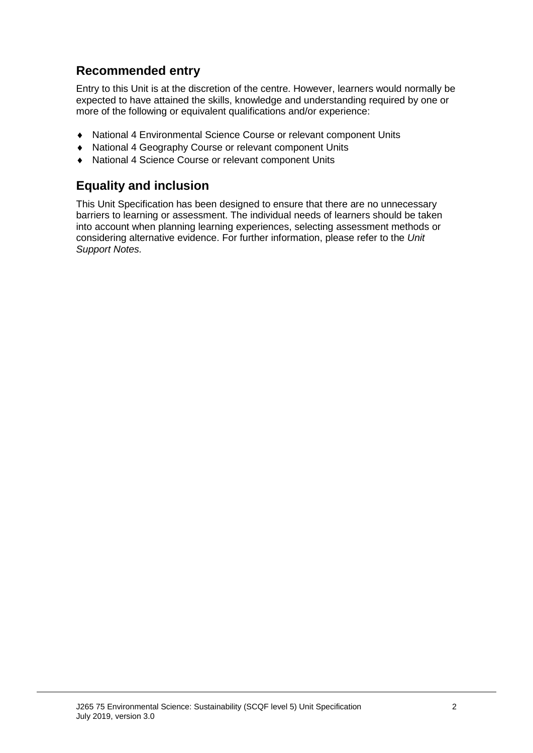## **Recommended entry**

Entry to this Unit is at the discretion of the centre. However, learners would normally be expected to have attained the skills, knowledge and understanding required by one or more of the following or equivalent qualifications and/or experience:

- ♦ National 4 Environmental Science Course or relevant component Units
- ♦ National 4 Geography Course or relevant component Units
- ♦ National 4 Science Course or relevant component Units

### **Equality and inclusion**

This Unit Specification has been designed to ensure that there are no unnecessary barriers to learning or assessment. The individual needs of learners should be taken into account when planning learning experiences, selecting assessment methods or considering alternative evidence. For further information, please refer to the *Unit Support Notes.*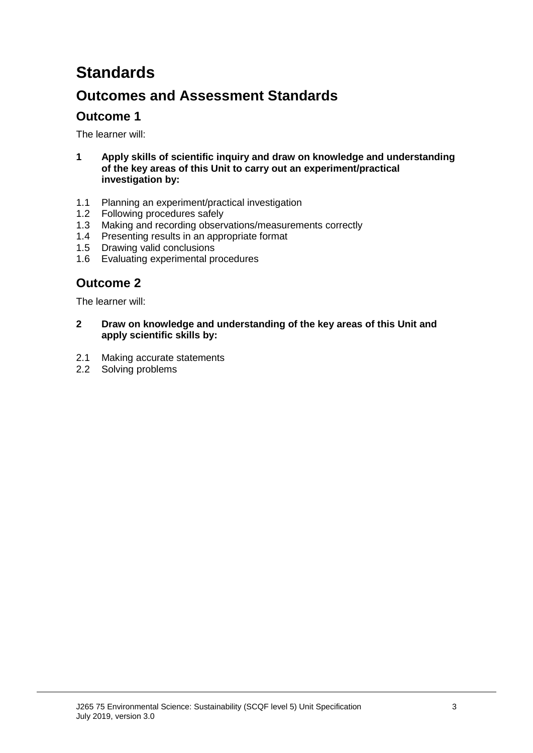# **Standards**

## **Outcomes and Assessment Standards**

### **Outcome 1**

The learner will:

- **1 Apply skills of scientific inquiry and draw on knowledge and understanding of the key areas of this Unit to carry out an experiment/practical investigation by:**
- 1.1 Planning an experiment/practical investigation
- 1.2 Following procedures safely<br>1.3 Making and recording obser
- Making and recording observations/measurements correctly
- 1.4 Presenting results in an appropriate format
- 1.5 Drawing valid conclusions
- 1.6 Evaluating experimental procedures

### **Outcome 2**

The learner will:

- **2 Draw on knowledge and understanding of the key areas of this Unit and apply scientific skills by:**
- 2.1 Making accurate statements
- 2.2 Solving problems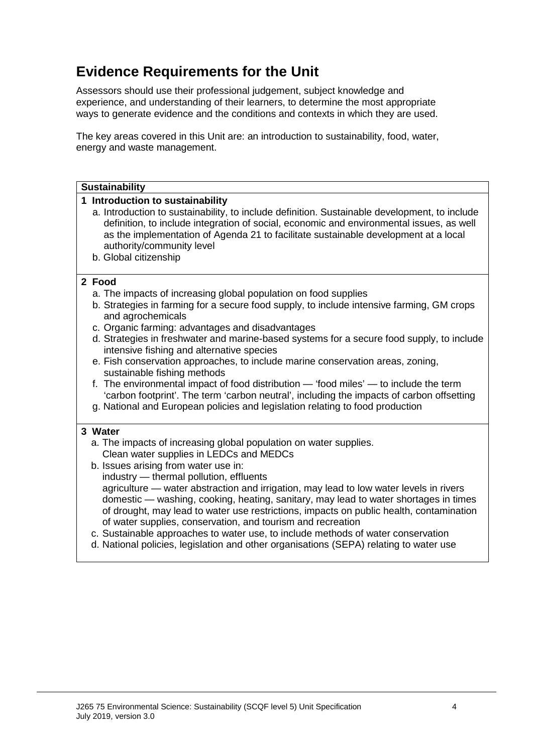## **Evidence Requirements for the Unit**

Assessors should use their professional judgement, subject knowledge and experience, and understanding of their learners, to determine the most appropriate ways to generate evidence and the conditions and contexts in which they are used.

The key areas covered in this Unit are: an introduction to sustainability, food, water, energy and waste management.

#### **Sustainability 1 Introduction to sustainability** a. Introduction to sustainability, to include definition. Sustainable development, to include definition, to include integration of social, economic and environmental issues, as well as the implementation of Agenda 21 to facilitate sustainable development at a local authority/community level b. Global citizenship **2 Food** a. The impacts of increasing global population on food supplies b. Strategies in farming for a secure food supply, to include intensive farming, GM crops and agrochemicals c. Organic farming: advantages and disadvantages d. Strategies in freshwater and marine-based systems for a secure food supply, to include intensive fishing and alternative species e. Fish conservation approaches, to include marine conservation areas, zoning, sustainable fishing methods f. The environmental impact of food distribution — 'food miles' — to include the term 'carbon footprint'. The term 'carbon neutral', including the impacts of carbon offsetting g. National and European policies and legislation relating to food production **3 Water** a. The impacts of increasing global population on water supplies. Clean water supplies in LEDCs and MEDCs b. Issues arising from water use in: industry — thermal pollution, effluents agriculture — water abstraction and irrigation, may lead to low water levels in rivers domestic — washing, cooking, heating, sanitary, may lead to water shortages in times of drought, may lead to water use restrictions, impacts on public health, contamination of water supplies, conservation, and tourism and recreation c. Sustainable approaches to water use, to include methods of water conservation d. National policies, legislation and other organisations (SEPA) relating to water use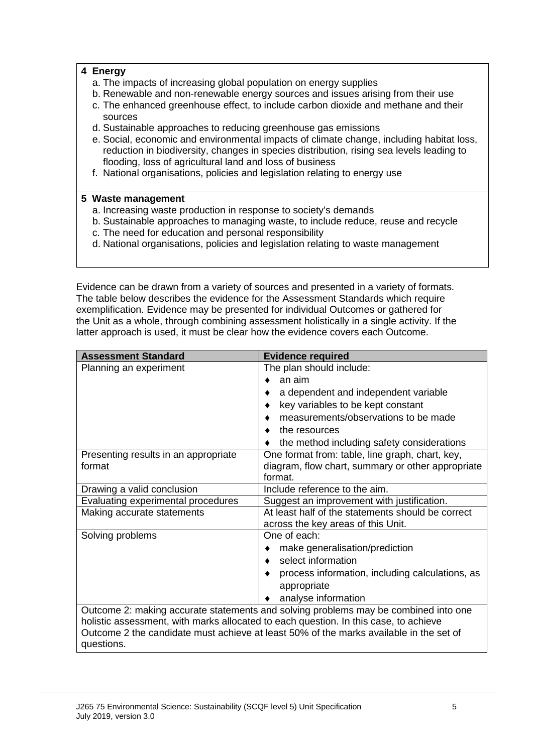#### **4 Energy**

- a. The impacts of increasing global population on energy supplies
- b. Renewable and non-renewable energy sources and issues arising from their use
- c. The enhanced greenhouse effect, to include carbon dioxide and methane and their sources
- d. Sustainable approaches to reducing greenhouse gas emissions
- e. Social, economic and environmental impacts of climate change, including habitat loss, reduction in biodiversity, changes in species distribution, rising sea levels leading to flooding, loss of agricultural land and loss of business
- f. National organisations, policies and legislation relating to energy use

#### **5 Waste management**

- a. Increasing waste production in response to society's demands
- b. Sustainable approaches to managing waste, to include reduce, reuse and recycle
- c. The need for education and personal responsibility
- d. National organisations, policies and legislation relating to waste management

Evidence can be drawn from a variety of sources and presented in a variety of formats. The table below describes the evidence for the Assessment Standards which require exemplification. Evidence may be presented for individual Outcomes or gathered for the Unit as a whole, through combining assessment holistically in a single activity. If the latter approach is used, it must be clear how the evidence covers each Outcome.

| <b>Assessment Standard</b>                                                                                                                                                                                                                                                          | <b>Evidence required</b>                          |  |  |
|-------------------------------------------------------------------------------------------------------------------------------------------------------------------------------------------------------------------------------------------------------------------------------------|---------------------------------------------------|--|--|
| Planning an experiment                                                                                                                                                                                                                                                              | The plan should include:                          |  |  |
|                                                                                                                                                                                                                                                                                     | an aim                                            |  |  |
|                                                                                                                                                                                                                                                                                     | a dependent and independent variable              |  |  |
|                                                                                                                                                                                                                                                                                     | key variables to be kept constant                 |  |  |
|                                                                                                                                                                                                                                                                                     | measurements/observations to be made              |  |  |
|                                                                                                                                                                                                                                                                                     | the resources                                     |  |  |
|                                                                                                                                                                                                                                                                                     | the method including safety considerations        |  |  |
| Presenting results in an appropriate                                                                                                                                                                                                                                                | One format from: table, line graph, chart, key,   |  |  |
| format                                                                                                                                                                                                                                                                              | diagram, flow chart, summary or other appropriate |  |  |
|                                                                                                                                                                                                                                                                                     | format.                                           |  |  |
| Drawing a valid conclusion                                                                                                                                                                                                                                                          | Include reference to the aim.                     |  |  |
| Evaluating experimental procedures                                                                                                                                                                                                                                                  | Suggest an improvement with justification.        |  |  |
| Making accurate statements                                                                                                                                                                                                                                                          | At least half of the statements should be correct |  |  |
|                                                                                                                                                                                                                                                                                     | across the key areas of this Unit.                |  |  |
| Solving problems                                                                                                                                                                                                                                                                    | One of each:                                      |  |  |
|                                                                                                                                                                                                                                                                                     | make generalisation/prediction                    |  |  |
|                                                                                                                                                                                                                                                                                     | select information                                |  |  |
|                                                                                                                                                                                                                                                                                     | process information, including calculations, as   |  |  |
|                                                                                                                                                                                                                                                                                     | appropriate                                       |  |  |
|                                                                                                                                                                                                                                                                                     | analyse information                               |  |  |
| Outcome 2: making accurate statements and solving problems may be combined into one<br>holistic assessment, with marks allocated to each question. In this case, to achieve<br>Outcome 2 the candidate must achieve at least 50% of the marks available in the set of<br>questions. |                                                   |  |  |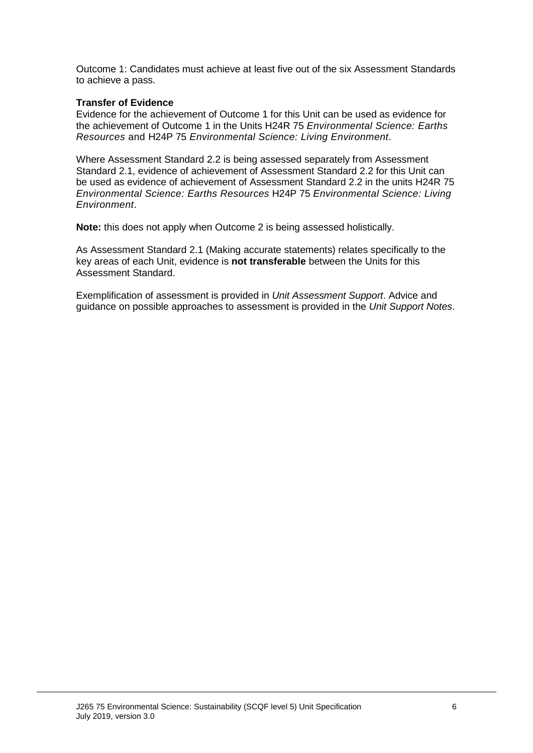Outcome 1: Candidates must achieve at least five out of the six Assessment Standards to achieve a pass.

#### **Transfer of Evidence**

Evidence for the achievement of Outcome 1 for this Unit can be used as evidence for the achievement of Outcome 1 in the Units H24R 75 *Environmental Science: Earths Resources* and H24P 75 *Environmental Science: Living Environment*.

Where Assessment Standard 2.2 is being assessed separately from Assessment Standard 2.1, evidence of achievement of Assessment Standard 2.2 for this Unit can be used as evidence of achievement of Assessment Standard 2.2 in the units H24R 75 *Environmental Science: Earths Resources* H24P 75 *Environmental Science: Living Environment*.

**Note:** this does not apply when Outcome 2 is being assessed holistically.

As Assessment Standard 2.1 (Making accurate statements) relates specifically to the key areas of each Unit, evidence is **not transferable** between the Units for this Assessment Standard.

Exemplification of assessment is provided in *Unit Assessment Support*. Advice and guidance on possible approaches to assessment is provided in the *Unit Support Notes*.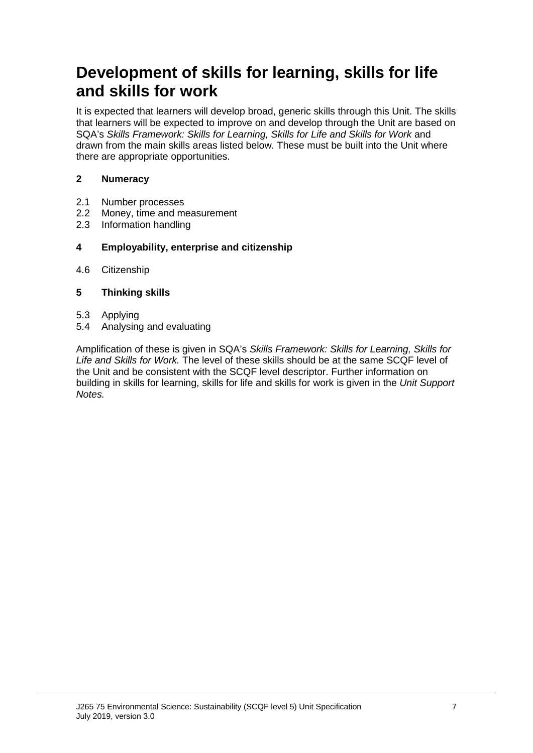## **Development of skills for learning, skills for life and skills for work**

It is expected that learners will develop broad, generic skills through this Unit. The skills that learners will be expected to improve on and develop through the Unit are based on SQA's *Skills Framework: Skills for Learning, Skills for Life and Skills for Work* and drawn from the main skills areas listed below. These must be built into the Unit where there are appropriate opportunities.

#### **2 Numeracy**

- 2.1 Number processes<br>2.2 Money, time and m
- Money, time and measurement
- 2.3 Information handling

#### **4 Employability, enterprise and citizenship**

4.6 Citizenship

#### **5 Thinking skills**

- 5.3 Applying
- 5.4 Analysing and evaluating

Amplification of these is given in SQA's *Skills Framework: Skills for Learning, Skills for Life and Skills for Work.* The level of these skills should be at the same SCQF level of the Unit and be consistent with the SCQF level descriptor. Further information on building in skills for learning, skills for life and skills for work is given in the *Unit Support Notes.*